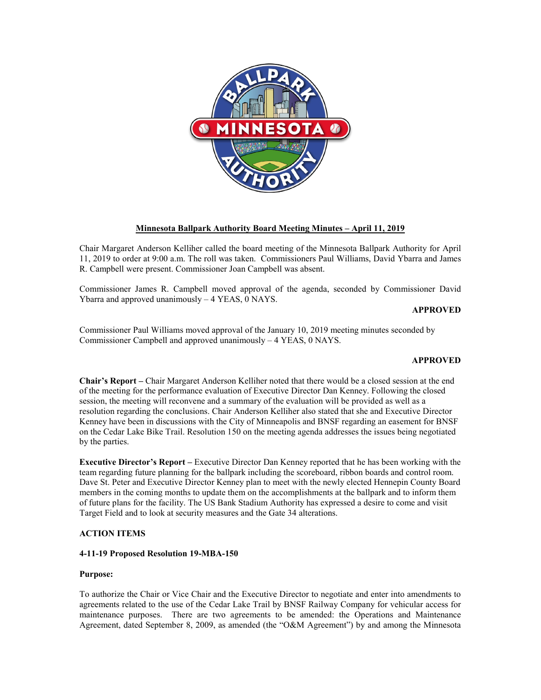

## **Minnesota Ballpark Authority Board Meeting Minutes – April 11, 2019**

Chair Margaret Anderson Kelliher called the board meeting of the Minnesota Ballpark Authority for April 11, 2019 to order at 9:00 a.m. The roll was taken. Commissioners Paul Williams, David Ybarra and James R. Campbell were present. Commissioner Joan Campbell was absent.

Commissioner James R. Campbell moved approval of the agenda, seconded by Commissioner David Ybarra and approved unanimously – 4 YEAS, 0 NAYS.

**APPROVED**

Commissioner Paul Williams moved approval of the January 10, 2019 meeting minutes seconded by Commissioner Campbell and approved unanimously – 4 YEAS, 0 NAYS.

## **APPROVED**

**Chair's Report –** Chair Margaret Anderson Kelliher noted that there would be a closed session at the end of the meeting for the performance evaluation of Executive Director Dan Kenney. Following the closed session, the meeting will reconvene and a summary of the evaluation will be provided as well as a resolution regarding the conclusions. Chair Anderson Kelliher also stated that she and Executive Director Kenney have been in discussions with the City of Minneapolis and BNSF regarding an easement for BNSF on the Cedar Lake Bike Trail. Resolution 150 on the meeting agenda addresses the issues being negotiated by the parties.

**Executive Director's Report –** Executive Director Dan Kenney reported that he has been working with the team regarding future planning for the ballpark including the scoreboard, ribbon boards and control room. Dave St. Peter and Executive Director Kenney plan to meet with the newly elected Hennepin County Board members in the coming months to update them on the accomplishments at the ballpark and to inform them of future plans for the facility. The US Bank Stadium Authority has expressed a desire to come and visit Target Field and to look at security measures and the Gate 34 alterations.

## **ACTION ITEMS**

## **4-11-19 Proposed Resolution 19-MBA-150**

### **Purpose:**

To authorize the Chair or Vice Chair and the Executive Director to negotiate and enter into amendments to agreements related to the use of the Cedar Lake Trail by BNSF Railway Company for vehicular access for maintenance purposes. There are two agreements to be amended: the Operations and Maintenance Agreement, dated September 8, 2009, as amended (the "O&M Agreement") by and among the Minnesota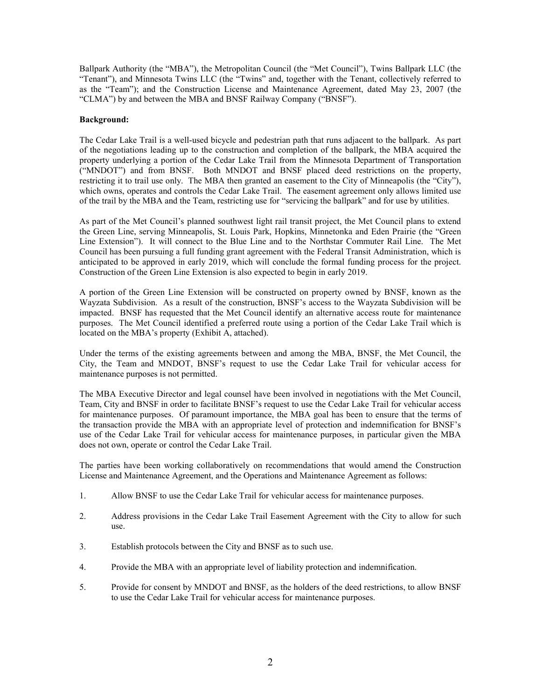Ballpark Authority (the "MBA"), the Metropolitan Council (the "Met Council"), Twins Ballpark LLC (the "Tenant"), and Minnesota Twins LLC (the "Twins" and, together with the Tenant, collectively referred to as the "Team"); and the Construction License and Maintenance Agreement, dated May 23, 2007 (the "CLMA") by and between the MBA and BNSF Railway Company ("BNSF").

### **Background:**

The Cedar Lake Trail is a well-used bicycle and pedestrian path that runs adjacent to the ballpark. As part of the negotiations leading up to the construction and completion of the ballpark, the MBA acquired the property underlying a portion of the Cedar Lake Trail from the Minnesota Department of Transportation ("MNDOT") and from BNSF. Both MNDOT and BNSF placed deed restrictions on the property, restricting it to trail use only. The MBA then granted an easement to the City of Minneapolis (the "City"), which owns, operates and controls the Cedar Lake Trail. The easement agreement only allows limited use of the trail by the MBA and the Team, restricting use for "servicing the ballpark" and for use by utilities.

As part of the Met Council's planned southwest light rail transit project, the Met Council plans to extend the Green Line, serving Minneapolis, St. Louis Park, Hopkins, Minnetonka and Eden Prairie (the "Green Line Extension"). It will connect to the Blue Line and to the Northstar Commuter Rail Line. The Met Council has been pursuing a full funding grant agreement with the Federal Transit Administration, which is anticipated to be approved in early 2019, which will conclude the formal funding process for the project. Construction of the Green Line Extension is also expected to begin in early 2019.

A portion of the Green Line Extension will be constructed on property owned by BNSF, known as the Wayzata Subdivision. As a result of the construction, BNSF's access to the Wayzata Subdivision will be impacted. BNSF has requested that the Met Council identify an alternative access route for maintenance purposes. The Met Council identified a preferred route using a portion of the Cedar Lake Trail which is located on the MBA's property (Exhibit A, attached).

Under the terms of the existing agreements between and among the MBA, BNSF, the Met Council, the City, the Team and MNDOT, BNSF's request to use the Cedar Lake Trail for vehicular access for maintenance purposes is not permitted.

The MBA Executive Director and legal counsel have been involved in negotiations with the Met Council, Team, City and BNSF in order to facilitate BNSF's request to use the Cedar Lake Trail for vehicular access for maintenance purposes. Of paramount importance, the MBA goal has been to ensure that the terms of the transaction provide the MBA with an appropriate level of protection and indemnification for BNSF's use of the Cedar Lake Trail for vehicular access for maintenance purposes, in particular given the MBA does not own, operate or control the Cedar Lake Trail.

The parties have been working collaboratively on recommendations that would amend the Construction License and Maintenance Agreement, and the Operations and Maintenance Agreement as follows:

- 1. Allow BNSF to use the Cedar Lake Trail for vehicular access for maintenance purposes.
- 2. Address provisions in the Cedar Lake Trail Easement Agreement with the City to allow for such use.
- 3. Establish protocols between the City and BNSF as to such use.
- 4. Provide the MBA with an appropriate level of liability protection and indemnification.
- 5. Provide for consent by MNDOT and BNSF, as the holders of the deed restrictions, to allow BNSF to use the Cedar Lake Trail for vehicular access for maintenance purposes.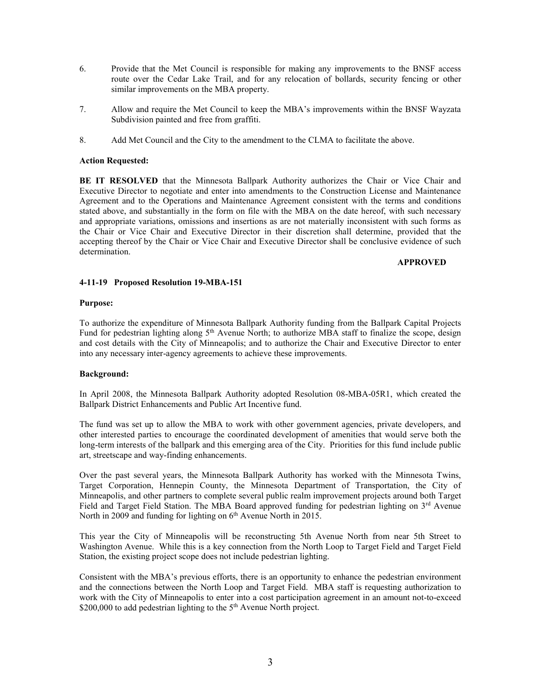- 6. Provide that the Met Council is responsible for making any improvements to the BNSF access route over the Cedar Lake Trail, and for any relocation of bollards, security fencing or other similar improvements on the MBA property.
- 7. Allow and require the Met Council to keep the MBA's improvements within the BNSF Wayzata Subdivision painted and free from graffiti.
- 8. Add Met Council and the City to the amendment to the CLMA to facilitate the above.

## **Action Requested:**

**BE IT RESOLVED** that the Minnesota Ballpark Authority authorizes the Chair or Vice Chair and Executive Director to negotiate and enter into amendments to the Construction License and Maintenance Agreement and to the Operations and Maintenance Agreement consistent with the terms and conditions stated above, and substantially in the form on file with the MBA on the date hereof, with such necessary and appropriate variations, omissions and insertions as are not materially inconsistent with such forms as the Chair or Vice Chair and Executive Director in their discretion shall determine, provided that the accepting thereof by the Chair or Vice Chair and Executive Director shall be conclusive evidence of such determination.

# **APPROVED**

### **4-11-19 Proposed Resolution 19-MBA-151**

### **Purpose:**

To authorize the expenditure of Minnesota Ballpark Authority funding from the Ballpark Capital Projects Fund for pedestrian lighting along  $5<sup>th</sup>$  Avenue North; to authorize MBA staff to finalize the scope, design and cost details with the City of Minneapolis; and to authorize the Chair and Executive Director to enter into any necessary inter-agency agreements to achieve these improvements.

### **Background:**

In April 2008, the Minnesota Ballpark Authority adopted Resolution 08-MBA-05R1, which created the Ballpark District Enhancements and Public Art Incentive fund.

The fund was set up to allow the MBA to work with other government agencies, private developers, and other interested parties to encourage the coordinated development of amenities that would serve both the long-term interests of the ballpark and this emerging area of the City. Priorities for this fund include public art, streetscape and way-finding enhancements.

Over the past several years, the Minnesota Ballpark Authority has worked with the Minnesota Twins, Target Corporation, Hennepin County, the Minnesota Department of Transportation, the City of Minneapolis, and other partners to complete several public realm improvement projects around both Target Field and Target Field Station. The MBA Board approved funding for pedestrian lighting on 3<sup>rd</sup> Avenue North in 2009 and funding for lighting on  $6<sup>th</sup>$  Avenue North in 2015.

This year the City of Minneapolis will be reconstructing 5th Avenue North from near 5th Street to Washington Avenue. While this is a key connection from the North Loop to Target Field and Target Field Station, the existing project scope does not include pedestrian lighting.

Consistent with the MBA's previous efforts, there is an opportunity to enhance the pedestrian environment and the connections between the North Loop and Target Field. MBA staff is requesting authorization to work with the City of Minneapolis to enter into a cost participation agreement in an amount not-to-exceed \$200,000 to add pedestrian lighting to the 5<sup>th</sup> Avenue North project.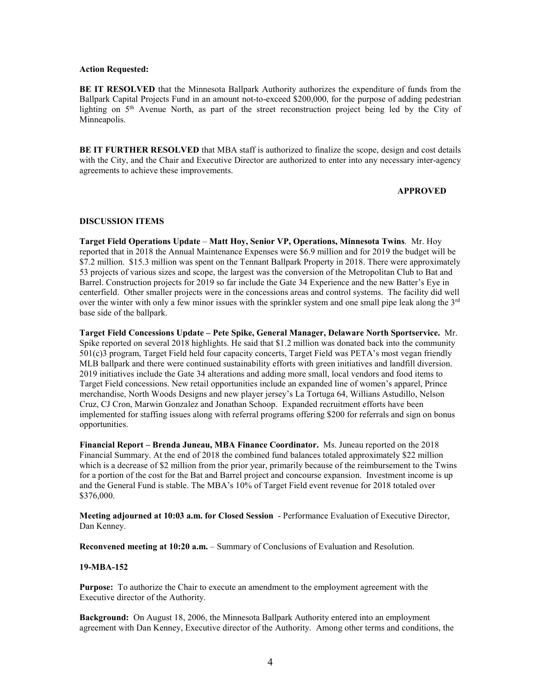#### **Action Requested:**

**BE IT RESOLVED** that the Minnesota Ballpark Authority authorizes the expenditure of funds from the Ballpark Capital Projects Fund in an amount not-to-exceed \$200,000, for the purpose of adding pedestrian lighting on  $5<sup>th</sup>$  Avenue North, as part of the street reconstruction project being led by the City of Minneapolis.

**BE IT FURTHER RESOLVED** that MBA staff is authorized to finalize the scope, design and cost details with the City, and the Chair and Executive Director are authorized to enter into any necessary inter-agency agreements to achieve these improvements.

### **APPROVED**

### **DISCUSSION ITEMS**

**Target Field Operations Update** – **Matt Hoy, Senior VP, Operations, Minnesota Twins**. Mr. Hoy reported that in 2018 the Annual Maintenance Expenses were \$6.9 million and for 2019 the budget will be \$7.2 million. \$15.3 million was spent on the Tennant Ballpark Property in 2018. There were approximately 53 projects of various sizes and scope, the largest was the conversion of the Metropolitan Club to Bat and Barrel. Construction projects for 2019 so far include the Gate 34 Experience and the new Batter's Eye in centerfield. Other smaller projects were in the concessions areas and control systems. The facility did well over the winter with only a few minor issues with the sprinkler system and one small pipe leak along the  $3<sup>rd</sup>$ base side of the ballpark.

**Target Field Concessions Update – Pete Spike, General Manager, Delaware North Sportservice.** Mr. Spike reported on several 2018 highlights. He said that \$1.2 million was donated back into the community 501(c)3 program, Target Field held four capacity concerts, Target Field was PETA's most vegan friendly MLB ballpark and there were continued sustainability efforts with green initiatives and landfill diversion. 2019 initiatives include the Gate 34 alterations and adding more small, local vendors and food items to Target Field concessions. New retail opportunities include an expanded line of women's apparel, Prince merchandise, North Woods Designs and new player jersey's La Tortuga 64, Willians Astudillo, Nelson Cruz, CJ Cron, Marwin Gonzalez and Jonathan Schoop. Expanded recruitment efforts have been implemented for staffing issues along with referral programs offering \$200 for referrals and sign on bonus opportunities.

**Financial Report – Brenda Juneau, MBA Finance Coordinator.** Ms. Juneau reported on the 2018 Financial Summary. At the end of 2018 the combined fund balances totaled approximately \$22 million which is a decrease of \$2 million from the prior year, primarily because of the reimbursement to the Twins for a portion of the cost for the Bat and Barrel project and concourse expansion. Investment income is up and the General Fund is stable. The MBA's 10% of Target Field event revenue for 2018 totaled over \$376,000.

**Meeting adjourned at 10:03 a.m. for Closed Session** - Performance Evaluation of Executive Director, Dan Kenney.

**Reconvened meeting at 10:20 a.m.** – Summary of Conclusions of Evaluation and Resolution.

### **19-MBA-152**

**Purpose:** To authorize the Chair to execute an amendment to the employment agreement with the Executive director of the Authority.

**Background:** On August 18, 2006, the Minnesota Ballpark Authority entered into an employment agreement with Dan Kenney, Executive director of the Authority. Among other terms and conditions, the